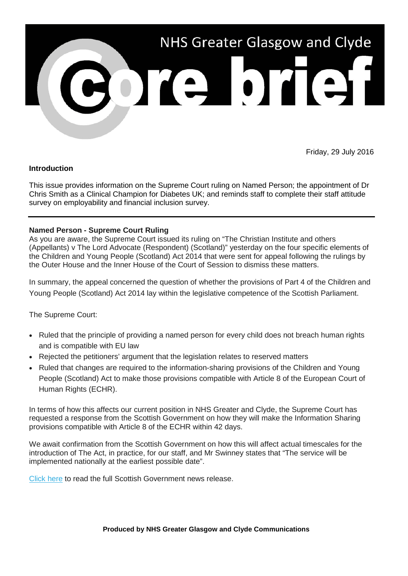

Friday, 29 July 2016

## **Introduction**

This issue provides information on the Supreme Court ruling on Named Person; the appointment of Dr Chris Smith as a Clinical Champion for Diabetes UK; and reminds staff to complete their staff attitude survey on employability and financial inclusion survey.

## **Named Person - Supreme Court Ruling**

As you are aware, the Supreme Court issued its ruling on "The Christian Institute and others (Appellants) v The Lord Advocate (Respondent) (Scotland)" yesterday on the four specific elements of the Children and Young People (Scotland) Act 2014 that were sent for appeal following the rulings by the Outer House and the Inner House of the Court of Session to dismiss these matters.

In summary, the appeal concerned the question of whether the provisions of Part 4 of the Children and Young People (Scotland) Act 2014 lay within the legislative competence of the Scottish Parliament.

The Supreme Court:

- Ruled that the principle of providing a named person for every child does not breach human rights and is compatible with EU law
- Rejected the petitioners' argument that the legislation relates to reserved matters
- Ruled that changes are required to the information-sharing provisions of the Children and Young People (Scotland) Act to make those provisions compatible with Article 8 of the European Court of Human Rights (ECHR).

In terms of how this affects our current position in NHS Greater and Clyde, the Supreme Court has requested a response from the Scottish Government on how they will make the Information Sharing provisions compatible with Article 8 of the ECHR within 42 days.

We await confirmation from the Scottish Government on how this will affect actual timescales for the introduction of The Act, in practice, for our staff, and Mr Swinney states that "The service will be implemented nationally at the earliest possible date".

[Click here](http://news.scotland.gov.uk/News/Supreme-Court-rules-on-named-person-279f.aspx) to read the full Scottish Government news release.